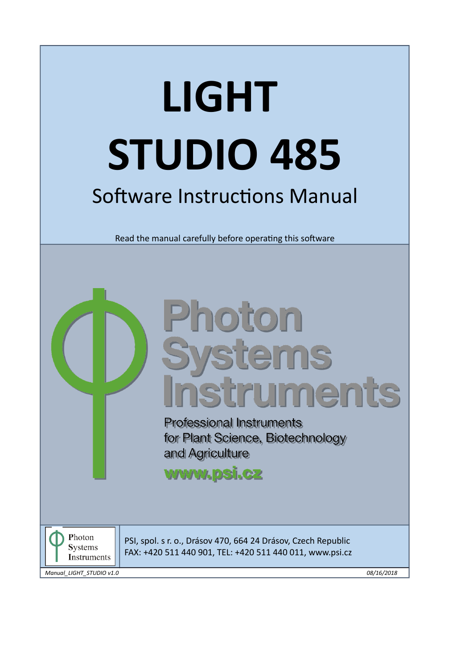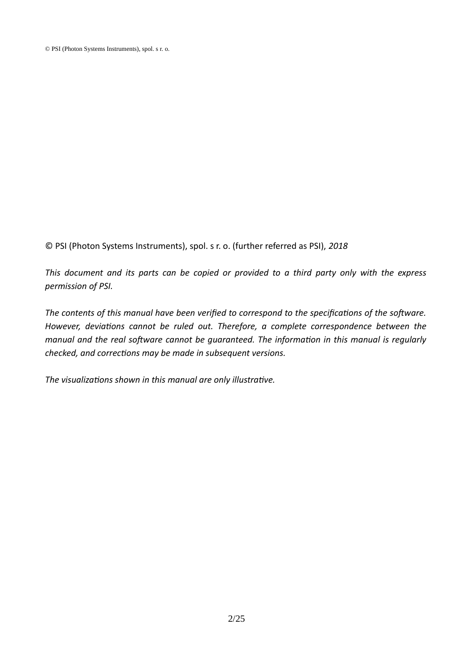© PSI (Photon Systems Instruments), spol. s r. o. (further referred as PSI), 2018

*This document and its parts can be copied or provided to a third party only with the express permission of PSI.*

The contents of this manual have been verified to correspond to the specifications of the software. *However, deviations cannot be ruled out. Therefore, a complete correspondence between the manual and the real software cannot be guaranteed. The information in this manual is regularly checked, and corrections may be made in subsequent versions.* 

The visualizations shown in this manual are only illustrative.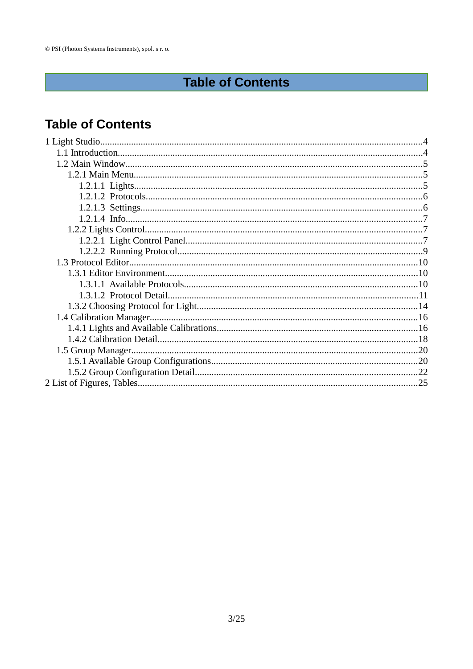# **Table of Contents**

## **Table of Contents**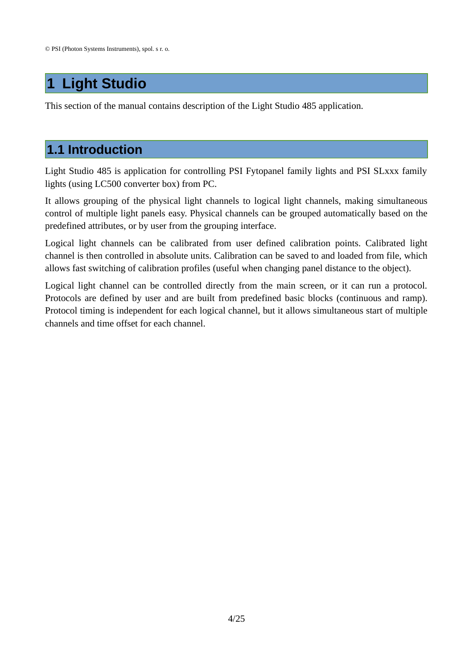# <span id="page-3-0"></span>**1 Light Studio**

This section of the manual contains description of the Light Studio 485 application.

## <span id="page-3-1"></span>**1.1 Introduction**

Light Studio 485 is application for controlling PSI Fytopanel family lights and PSI SLxxx family lights (using LC500 converter box) from PC.

It allows grouping of the physical light channels to logical light channels, making simultaneous control of multiple light panels easy. Physical channels can be grouped automatically based on the predefined attributes, or by user from the grouping interface.

Logical light channels can be calibrated from user defined calibration points. Calibrated light channel is then controlled in absolute units. Calibration can be saved to and loaded from file, which allows fast switching of calibration profiles (useful when changing panel distance to the object).

Logical light channel can be controlled directly from the main screen, or it can run a protocol. Protocols are defined by user and are built from predefined basic blocks (continuous and ramp). Protocol timing is independent for each logical channel, but it allows simultaneous start of multiple channels and time offset for each channel.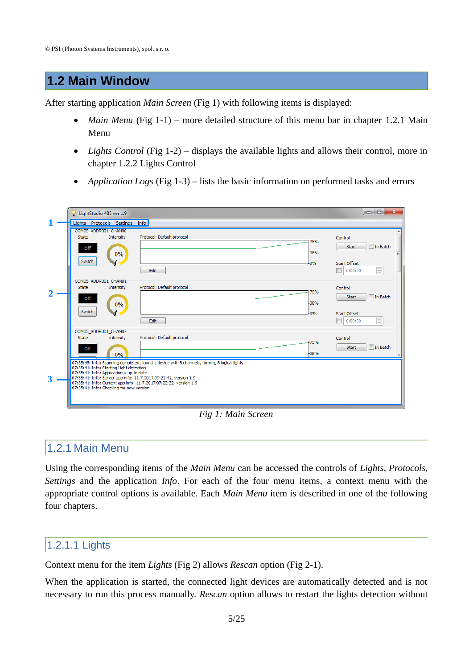## <span id="page-4-2"></span>**1.2 Main Window**

After starting application *Main Screen* [\(Fig 1\)](#page-4-3) with following items is displayed:

- *[Main](#page-4-1) Menu* [\(Fig 1-](#page-4-3)1) more detailed structure of this menu bar in chapter [1.2.1](#page-4-1) Main [Menu](#page-4-1)
- *Lights Control* [\(Fig 1-](#page-4-3)2) displays the available lights and allows their control, more in chapter [1.2.2](#page-6-1) [Lights Control](#page-6-1)
- *Application Logs* [\(Fig 1-](#page-4-3)3) lists the basic information on performed tasks and errors

|   | LightStudio 485 ver 1.9                                                                                                                                                                               |                                                                                                                                                                   | $\overline{\mathbf{x}}$<br>$\Box$<br><b>ICIL</b>           |
|---|-------------------------------------------------------------------------------------------------------------------------------------------------------------------------------------------------------|-------------------------------------------------------------------------------------------------------------------------------------------------------------------|------------------------------------------------------------|
|   | Lights Protocols Settings Info                                                                                                                                                                        |                                                                                                                                                                   |                                                            |
|   | COM05 ADDR001 CHAN00<br>State<br>Intensity<br>Off<br>0%                                                                                                                                               | Protocol: Default protocol<br>-38%                                                                                                                                | Control<br>-75%<br>In Batch<br>Start                       |
|   | Switch                                                                                                                                                                                                | <b>LO%</b><br>Edit                                                                                                                                                | Start Offset<br>$\frac{\triangle}{\tau}$<br>叵<br>0:00:00   |
|   | COM05 ADDR001 CHAN01<br>Intensity<br>State                                                                                                                                                            | Protocol: Default protocol                                                                                                                                        | Control                                                    |
|   | Off<br>0%                                                                                                                                                                                             | -38%                                                                                                                                                              | $-75%$<br>In Batch<br>Start                                |
|   | Switch                                                                                                                                                                                                | <b>LO%</b><br>Edit                                                                                                                                                | <b>Start Offset</b><br>$\frac{\triangle}{\tau}$<br>0:00:00 |
|   | COM05_ADDR001_CHAN02<br>Intensity<br><b>State</b>                                                                                                                                                     | Protocol: Default protocol                                                                                                                                        | Control                                                    |
|   | Off<br>0%                                                                                                                                                                                             | -75%<br>-38%                                                                                                                                                      | In Batch<br>Start                                          |
| 3 | 07:35:41: Info: Starting Light detection<br>07:35:41: Info: Application is up to date<br>07:35:41: Info: Server app info: 11.7.2017 09:22:42, version 1.9<br>07:35:41: Info: Checking for new version | 07:35:45: Info: Scanning completed, found 1 device with 8 channels, forming 8 logical lights<br>07:35:41: Info: Current app info: 11.7.2017 07:22:32, version 1.9 |                                                            |
|   |                                                                                                                                                                                                       |                                                                                                                                                                   |                                                            |

#### <span id="page-4-3"></span>*Fig 1: Main Screen*

## <span id="page-4-1"></span>1.2.1 Main Menu

Using the corresponding items of the *Main Menu* can be accessed the controls of *Lights*, *Protocols*, *Settings* and the application *Info*. For each of the four menu items, a context menu with the appropriate control options is available. Each *Main Menu* item is described in one of the following four chapters.

#### <span id="page-4-0"></span>1.2.1.1 Lights

Context menu for the item *Lights* [\(Fig 2\)](#page-5-2) allows *Rescan* option [\(Fig 2-](#page-5-2)1).

When the application is started, the connected light devices are automatically detected and is not necessary to run this process manually. *Rescan* option allows to restart the lights detection without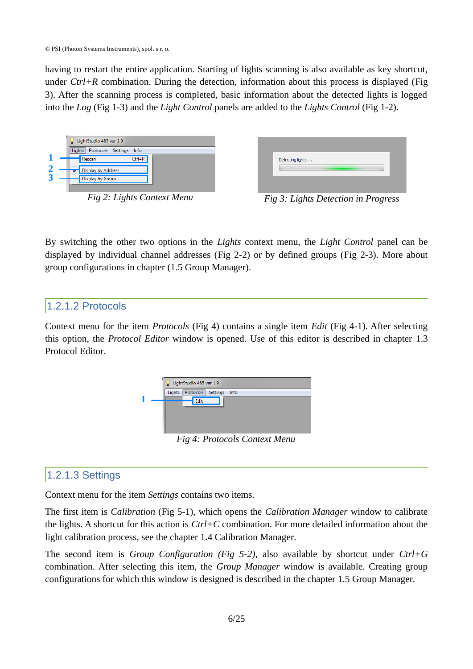having to restart the entire application. Starting of lights scanning is also available as key shortcut, under *Ctrl+R* combination. During the detection, information about this process is displayed [\(Fig](#page-5-4) [3\)](#page-5-4). After the scanning process is completed, basic information about the detected lights is logged into the *Log* [\(Fig 1-](#page-4-3)3) and the *Light Control* panels are added to the *Lights Control* [\(Fig 1-](#page-4-3)2).

| LightStudio 485 ver 1.9<br>Protocols Settings<br>Lights<br>Info                        |
|----------------------------------------------------------------------------------------|
| $Ctrl + R$<br>Rescan<br>Display by Address                                             |
| <b>Display by Group</b><br>$\overline{\phantom{a}}$<br>$\overline{\phantom{a}}$<br>- - |

<span id="page-5-2"></span>*Fig 2: Lights Context Menu*

| Detecting lights                             |
|----------------------------------------------|
|                                              |
| $E_{1a}^{i}$ 2. Lights Detection in Dreamers |

<span id="page-5-4"></span>*Fig 3: Lights Detection in Progress*

By switching the other two options in the *Lights* context menu, the *Light Control* panel can be displayed by individual channel addresses [\(Fig 2-](#page-5-2)2) or by defined groups [\(Fig 2-](#page-5-2)3). More about group configurations in chapter [\(1.5](#page-19-1) [Group Manager\)](#page-19-1).

#### <span id="page-5-1"></span>1.2.1.2 Protocols

Context menu for the item *Protocols* [\(Fig 4\)](#page-5-3) contains a single item *Edit* [\(Fig 4-](#page-5-3)1). After selecting this option, the *Protocol Editor* window is opened. Use of this editor is described in chapter [1.3](#page-9-2) [Protocol Editor.](#page-9-2)



<span id="page-5-3"></span>*Fig 4: Protocols Context Menu*

## <span id="page-5-0"></span>1.2.1.3 Settings

Context menu for the item *Settings* contains two items.

The first item is *Calibration* [\(Fig 5-](#page-6-3)1), which opens the *Calibration Manager* window to calibrate the lights. A shortcut for this action is *Ctrl+C* combination. For more detailed information about the light calibration process, see the chapter [1.4](#page-15-1) [Calibration Manager.](#page-15-1)

The second item is *Group Configuration [\(Fig 5-](#page-6-3)2),* also available by shortcut under *Ctrl+G* combination. After selecting this item, the *Group Manager* window is available. Creating group configurations for which this window is designed is described in the chapter [1.5](#page-19-1) [Group Manager.](#page-19-1)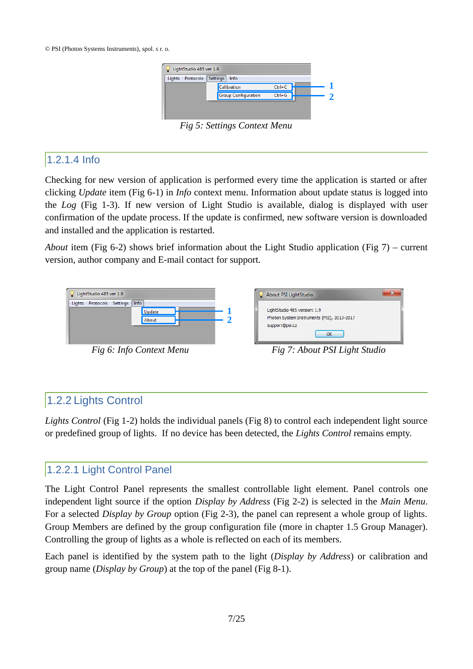

<span id="page-6-3"></span>*Fig 5: Settings Context Menu*

#### <span id="page-6-2"></span>1.2.1.4 Info

Checking for new version of application is performed every time the application is started or after clicking *Update* item [\(Fig 6-](#page-6-5)1) in *Info* context menu. Information about update status is logged into the *Log* [\(Fig 1-](#page-4-3)3). If new version of Light Studio is available, dialog is displayed with user confirmation of the update process. If the update is confirmed, new software version is downloaded and installed and the application is restarted.

*About* item [\(Fig 6-](#page-6-5)2) shows brief information about the Light Studio application ([Fig 7\)](#page-6-4) – current version, author company and E-mail contact for support.

<span id="page-6-4"></span>

## <span id="page-6-5"></span><span id="page-6-1"></span>1.2.2 Lights Control

*Lights Control* [\(Fig 1-](#page-4-3)2) holds the individual panels [\(Fig 8\)](#page-7-0) to control each independent light source or predefined group of lights. If no device has been detected, the *Lights Control* remains empty.

## <span id="page-6-0"></span>1.2.2.1 Light Control Panel

The Light Control Panel represents the smallest controllable light element. Panel controls one independent light source if the option *Display by Address* [\(Fig 2-](#page-5-2)2) is selected in the *Main Menu*. For a selected *Display by Group* option [\(Fig 2-](#page-5-2)3), the panel can represent a whole group of lights. Group Members are defined by the group configuration file (more in chapter [1.5](#page-19-1) [Group Manager\)](#page-19-1). Controlling the group of lights as a whole is reflected on each of its members.

Each panel is identified by the system path to the light (*Display by Address*) or calibration and group name (*Display by Group*) at the top of the panel [\(Fig 8-](#page-7-0)1).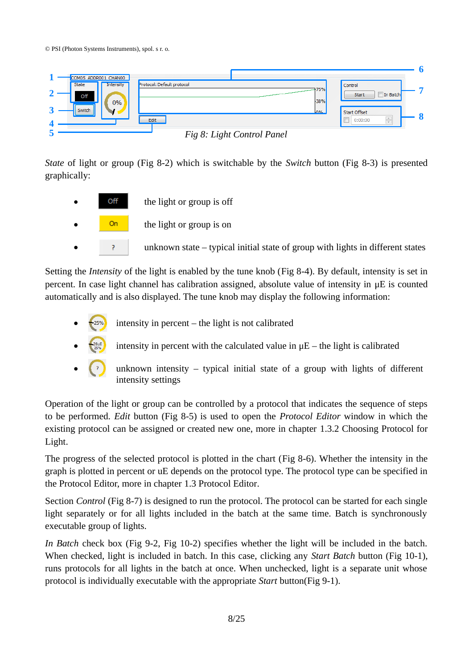

<span id="page-7-0"></span>

*State* of light or group [\(Fig 8-](#page-7-0)2) which is switchable by the *Switch* button [\(Fig 8-](#page-7-0)3) is presented graphically:



Setting the *Intensity* of the light is enabled by the tune knob [\(Fig 8-](#page-7-0)4). By default, intensity is set in percent. In case light channel has calibration assigned, absolute value of intensity in μE is counted automatically and is also displayed. The tune knob may display the following information:

- intensity in percent the light is not calibrated
- intensity in percent with the calculated value in  $\mu$ E the light is calibrated
- unknown intensity  $-$  typical initial state of a group with lights of different intensity settings

Operation of the light or group can be controlled by a protocol that indicates the sequence of steps to be performed. *Edit* button [\(Fig 8-](#page-7-0)5) is used to open the *Protocol Editor* window in which the existing protocol can be assigned or created new one, more in chapter [1.3.2](#page-13-0) [Choosing Protocol for](#page-13-0) [Light.](#page-13-0)

The progress of the selected protocol is plotted in the chart ([Fig 8-](#page-7-0)6). Whether the intensity in the graph is plotted in percent or uE depends on the protocol type. The protocol type can be specified in the Protocol Editor, more in chapter [1.3](#page-9-2) [Protocol Editor.](#page-9-2)

Section *Control* [\(Fig 8-](#page-7-0)7) is designed to run the protocol. The protocol can be started for each single light separately or for all lights included in the batch at the same time. Batch is synchronously executable group of lights.

*In Batch* check box [\(Fig 9-](#page-8-1)2, [Fig 10-](#page-8-2)2) specifies whether the light will be included in the batch. When checked, light is included in batch. In this case, clicking any *Start Batch* button [\(Fig 10-](#page-8-2)1), runs protocols for all lights in the batch at once. When unchecked, light is a separate unit whose protocol is individually executable with the appropriate *Start* button[\(Fig 9-](#page-8-1)1).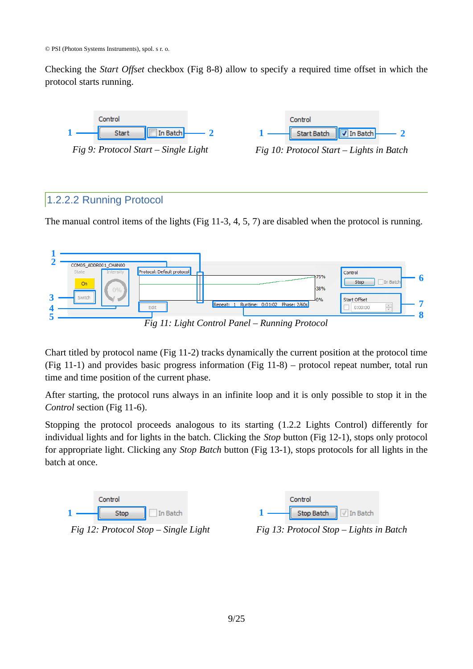© PSI (Photon Systems Instruments), spol. s r. o.

Checking the *Start Offset* checkbox [\(Fig 8-](#page-7-0)8) allow to specify a required time offset in which the protocol starts running.

<span id="page-8-1"></span>



<span id="page-8-2"></span>

#### <span id="page-8-0"></span>1.2.2.2 Running Protocol

The manual control items of the lights [\(Fig 11-](#page-8-5)3, 4, 5, 7) are disabled when the protocol is running.



<span id="page-8-5"></span>

Chart titled by protocol name [\(Fig 11-](#page-8-5)2) tracks dynamically the current position at the protocol time [\(Fig 11-](#page-8-5)1) and provides basic progress information [\(Fig 11-](#page-8-5)8) – protocol repeat number, total run time and time position of the current phase.

After starting, the protocol runs always in an infinite loop and it is only possible to stop it in the *Control* section [\(Fig 11-](#page-8-5)6).

Stopping the protocol proceeds analogous to its starting [\(1.2.2](#page-6-1) [Lights Control\)](#page-6-1) differently for individual lights and for lights in the batch. Clicking the *Stop* button [\(Fig 12-](#page-8-4)1), stops only protocol for appropriate light. Clicking any *Stop Batch* button [\(Fig 13-](#page-8-3)1), stops protocols for all lights in the batch at once.

<span id="page-8-4"></span><span id="page-8-3"></span>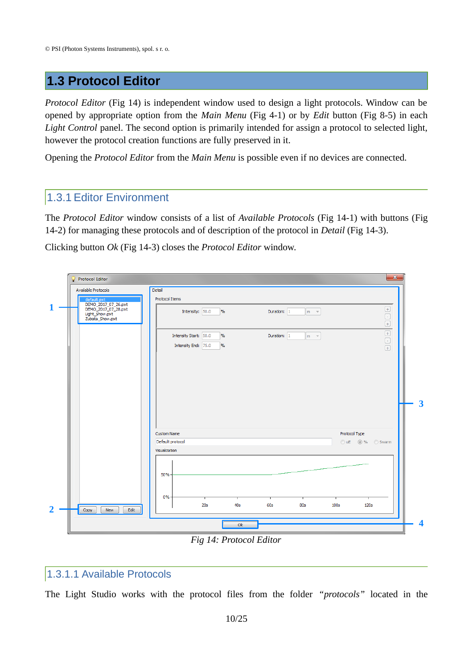## <span id="page-9-2"></span>**1.3 Protocol Editor**

*Protocol Editor* [\(Fig 14\)](#page-9-3) is independent window used to design a light protocols. Window can be opened by appropriate option from the *Main Menu* [\(Fig 4-](#page-5-3)1) or by *Edit* button [\(Fig 8-](#page-7-0)5) in each *Light Control* panel. The second option is primarily intended for assign a protocol to selected light, however the protocol creation functions are fully preserved in it.

Opening the *Protocol Editor* from the *Main Menu* is possible even if no devices are connected.

#### <span id="page-9-1"></span>1.3.1 Editor Environment

The *Protocol Editor* window consists of a list of *Available Protocols* [\(Fig 14-](#page-9-3)1) with buttons [\(Fig](#page-9-3) [14-](#page-9-3)2) for managing these protocols and of description of the protocol in *Detail* [\(Fig 14-](#page-9-3)3).

Clicking button *Ok* [\(Fig 14-](#page-9-3)3) closes the *Protocol Editor* window.

|                | Protocol Editor                                                                 | $\mathbf{x}$                                                                                                  |                         |
|----------------|---------------------------------------------------------------------------------|---------------------------------------------------------------------------------------------------------------|-------------------------|
|                | Available Protocols                                                             | Detail                                                                                                        |                         |
|                | default.pxt                                                                     | Protocol Items                                                                                                |                         |
| 1              | DEMO_2017_07_26.pxt<br>DEMO_2017_07_28.pxt<br>Light_Show.pxt<br>Zubata_Show.pxt | Intensity: 50.0<br>$\frac{9}{6}$<br>Duration: 1<br>$m - r$                                                    |                         |
|                |                                                                                 | $\boxed{\color{blue}\textcolor{blue}{\textbf{+}}}$<br>Duration: 1<br>Intensity Start: 50.0<br>$\%$<br>$m - r$ |                         |
|                |                                                                                 | $\boxed{\textcolor{blue}{\mathrel{\square}}}$<br>Intensity End: 75.0<br>$\frac{9}{6}$<br>$\boxed{+}$          |                         |
|                |                                                                                 |                                                                                                               | $\overline{\mathbf{3}}$ |
|                |                                                                                 | Protocol Type<br><b>Custom Name</b><br>Default protocol<br>OuE @% Swarm                                       |                         |
|                |                                                                                 | Visualization                                                                                                 |                         |
|                |                                                                                 | 50%<br>$0% -$<br>20s<br>40s<br>60s<br><b>80s</b><br>100s<br><b>120s</b>                                       |                         |
| $\overline{2}$ | Edit<br>Copy<br>New                                                             |                                                                                                               |                         |
|                |                                                                                 | Ok                                                                                                            | $\overline{\mathbf{4}}$ |
|                |                                                                                 | $\Gamma$ = 11. Ductoral $\Gamma$ divort                                                                       |                         |

<span id="page-9-3"></span>*Fig 14: Protocol Editor*

#### <span id="page-9-0"></span>1.3.1.1 Available Protocols

The Light Studio works with the protocol files from the folder *"protocols"* located in the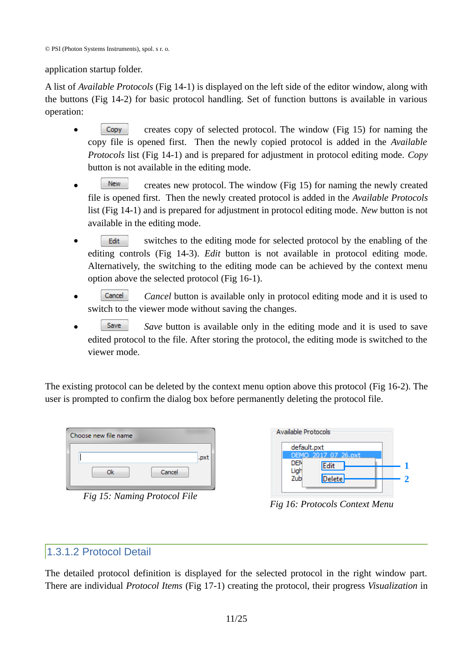© PSI (Photon Systems Instruments), spol. s r. o.

application startup folder.

A list of *Available Protocols* [\(Fig 14-](#page-9-3)1) is displayed on the left side of the editor window, along with the buttons [\(Fig 14-](#page-9-3)2) for basic protocol handling. Set of function buttons is available in various operation:

- Copy creates copy of selected protocol. The window [\(Fig 15\)](#page-10-2) for naming the copy file is opened first. Then the newly copied protocol is added in the *Available Protocols* list [\(Fig 14-](#page-9-3)1) and is prepared for adjustment in protocol editing mode. *Copy* button is not available in the editing mode.
- $\sqrt{\frac{N_{\text{ew}}}{N_{\text{ew}}}}$  creates new protocol. The window [\(Fig 15\)](#page-10-2) for naming the newly created file is opened first. Then the newly created protocol is added in the *Available Protocols* list [\(Fig 14-](#page-9-3)1) and is prepared for adjustment in protocol editing mode. *New* button is not available in the editing mode.
- Edit switches to the editing mode for selected protocol by the enabling of the editing controls [\(Fig 14-](#page-9-3)3). *Edit* button is not available in protocol editing mode. Alternatively, the switching to the editing mode can be achieved by the context menu option above the selected protocol [\(Fig 16-](#page-10-1)1).
- **Cancel 3** Cancel button is available only in protocol editing mode and it is used to switch to the viewer mode without saving the changes.
- **Save** Save button is available only in the editing mode and it is used to save edited protocol to the file. After storing the protocol, the editing mode is switched to the viewer mode.

The existing protocol can be deleted by the context menu option above this protocol [\(Fig 16-](#page-10-1)2). The user is prompted to confirm the dialog box before permanently deleting the protocol file.

| Choose new file name |        |      |
|----------------------|--------|------|
|                      |        | .pxt |
| Ok                   | Cancel |      |
|                      |        |      |

<span id="page-10-2"></span>*Fig 15: Naming Protocol File*

| Available Protocols |                             |  |
|---------------------|-----------------------------|--|
| default.pxt         |                             |  |
| <b>DEN</b><br>Ligh  | DEMO 2017 07 26.pxt<br>Edit |  |
| Zub                 | <b>Delete</b>               |  |

<span id="page-10-1"></span>*Fig 16: Protocols Context Menu*

## <span id="page-10-0"></span>1.3.1.2 Protocol Detail

The detailed protocol definition is displayed for the selected protocol in the right window part. There are individual *Protocol Items* [\(Fig 17-](#page-11-0)1) creating the protocol, their progress *Visualization* in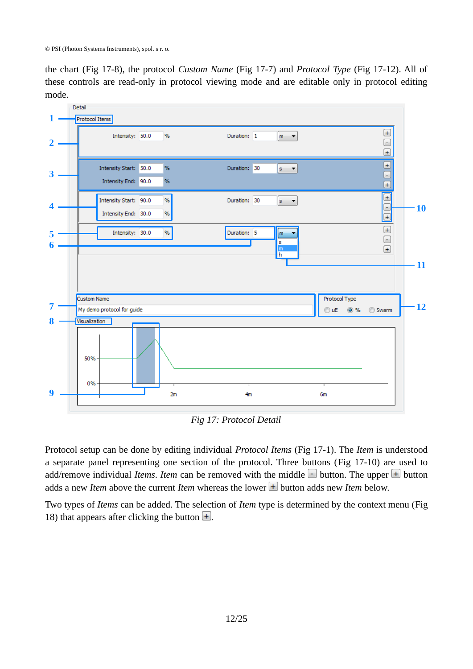the chart [\(Fig 17-](#page-11-0)8), the protocol *Custom Name* [\(Fig 17-](#page-11-0)7) and *Protocol Type* [\(Fig 17-](#page-11-0)12). All of these controls are read-only in protocol viewing mode and are editable only in protocol editing mode.



<span id="page-11-0"></span>*Fig 17: Protocol Detail*

Protocol setup can be done by editing individual *Protocol Items* [\(Fig 17-](#page-11-0)1). The *Item* is understood a separate panel representing one section of the protocol. Three buttons ([Fig 17-](#page-11-0)10) are used to add/remove individual *Items*. *Item* can be removed with the middle  $\Box$  button. The upper  $\Box$  button adds a new *Item* above the current *Item* whereas the lower  $\pm$  button adds new *Item* below.

Two types of *Items* can be added. The selection of *Item* type is determined by the context menu [\(Fig](#page-12-0) [18\)](#page-12-0) that appears after clicking the button  $\Box$ .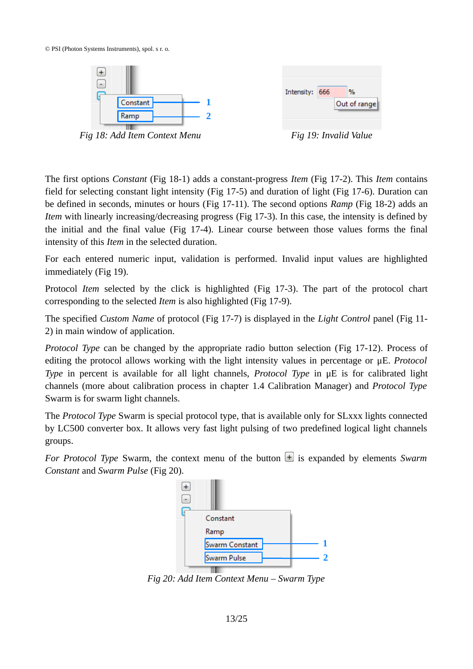© PSI (Photon Systems Instruments), spol. s r. o.





<span id="page-12-0"></span>*Fig 18: Add Item Context Menu Fig 19: Invalid Value*

<span id="page-12-2"></span>

The first options *Constant* [\(Fig 18-](#page-12-0)1) adds a constant-progress *Item* [\(Fig 17-](#page-11-0)2). This *Item* contains field for selecting constant light intensity [\(Fig 17-](#page-11-0)5) and duration of light [\(Fig 17-](#page-11-0)6). Duration can be defined in seconds, minutes or hours [\(Fig 17-](#page-11-0)11). The second options *Ramp* [\(Fig 18-](#page-12-0)2) adds an *Item* with linearly increasing/decreasing progress [\(Fig 17-](#page-11-0)3). In this case, the intensity is defined by the initial and the final value [\(Fig 17-](#page-11-0)4). Linear course between those values forms the final intensity of this *Item* in the selected duration.

For each entered numeric input, validation is performed. Invalid input values are highlighted immediately [\(Fig 19\)](#page-12-2).

Protocol *Item* selected by the click is highlighted [\(Fig 17-](#page-11-0)3). The part of the protocol chart corresponding to the selected *Item* is also highlighted [\(Fig 17-](#page-11-0)9).

The specified *Custom Name* of protocol [\(Fig 17-](#page-11-0)7) is displayed in the *Light Control* panel [\(Fig 11-](#page-8-5) 2) in main window of application.

*Protocol Type* can be changed by the appropriate radio button selection ([Fig 17-](#page-11-0)12). Process of editing the protocol allows working with the light intensity values in percentage or μE. *Protocol Type* in percent is available for all light channels, *Protocol Type* in μE is for calibrated light channels (more about calibration process in chapter [1.4](#page-15-1) [Calibration Manager\)](#page-15-1) and *Protocol Type* Swarm is for swarm light channels.

The *Protocol Type* Swarm is special protocol type, that is available only for SLxxx lights connected by LC500 converter box. It allows very fast light pulsing of two predefined logical light channels groups.

*For Protocol Type Swarm, the context menu of the button*  $\pm$  is expanded by elements *Swarm Constant* and *Swarm Pulse* [\(Fig 20\)](#page-12-1).



<span id="page-12-1"></span>*Fig 20: Add Item Context Menu – Swarm Type*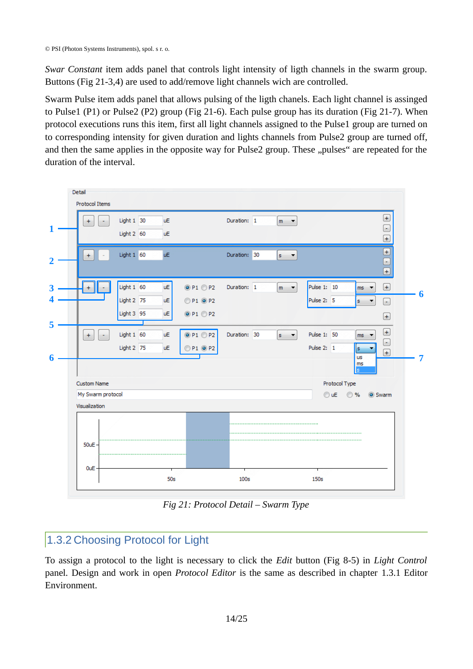*Swar Constant* item adds panel that controls light intensity of ligth channels in the swarm group. Buttons [\(Fig 21-](#page-13-1)3,4) are used to add/remove light channels wich are controlled.

Swarm Pulse item adds panel that allows pulsing of the ligth chanels. Each light channel is assinged to Pulse1 (P1) or Pulse2 (P2) group [\(Fig 21-](#page-13-1)6). Each pulse group has its duration [\(Fig 21-](#page-13-1)7). When protocol executions runs this item, first all light channels assigned to the Pulse1 group are turned on to corresponding intensity for given duration and lights channels from Pulse2 group are turned off, and then the same applies in the opposite way for Pulse2 group. These "pulses" are repeated for the duration of the interval.



<span id="page-13-1"></span>*Fig 21: Protocol Detail – Swarm Type*

## <span id="page-13-0"></span>1.3.2 Choosing Protocol for Light

To assign a protocol to the light is necessary to click the *Edit* button [\(Fig 8-](#page-7-0)5) in *Light Control* panel*.* Design and work in open *Protocol Editor* is the same as described in chapter [1.3.1](#page-9-1) [Editor](#page-9-1) [Environment.](#page-9-1)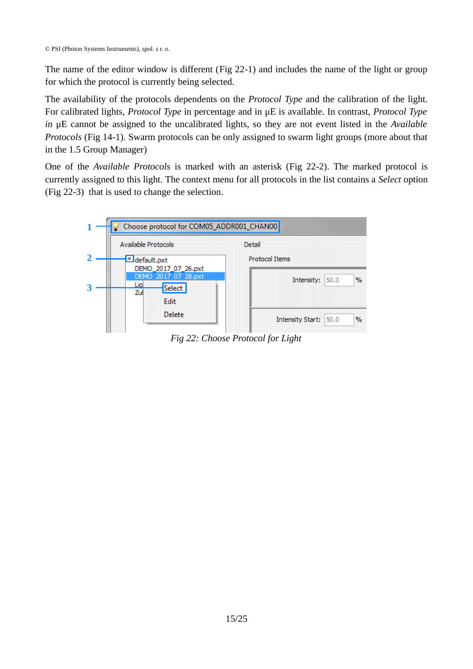The name of the editor window is different [\(Fig 22-](#page-14-0)1) and includes the name of the light or group for which the protocol is currently being selected.

The availability of the protocols dependents on the *Protocol Type* and the calibration of the light. For calibrated lights, *Protocol Type* in percentage and in μE is available. In contrast, *Protocol Type in* μE cannot be assigned to the uncalibrated lights, so they are not event listed in the *Available Protocols* [\(Fig 14-](#page-9-3)1). Swarm protocols can be only assigned to swarm light groups (more about that in the [1.5](#page-19-1) [Group Manager\)](#page-19-1)

One of the *Available Protocols* is marked with an asterisk [\(Fig 22-](#page-14-0)2). The marked protocol is currently assigned to this light. The context menu for all protocols in the list contains a *Select* option [\(Fig 22-](#page-14-0)3) that is used to change the selection.



<span id="page-14-0"></span>*Fig 22: Choose Protocol for Light*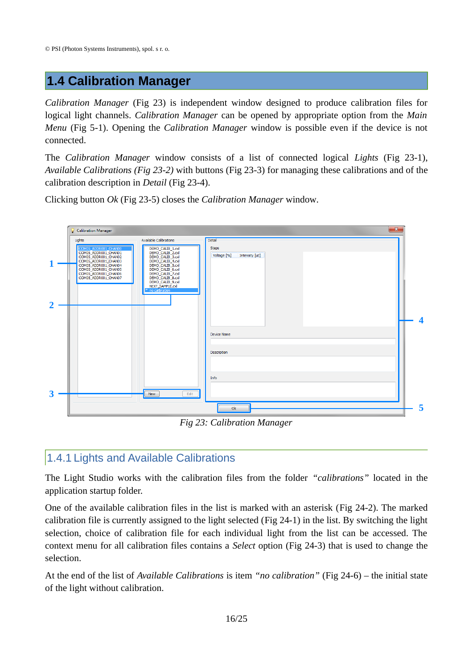## <span id="page-15-1"></span>**1.4 Calibration Manager**

*Calibration Manager* [\(Fig 23\)](#page-15-2) is independent window designed to produce calibration files for logical light channels. *Calibration Manager* can be opened by appropriate option from the *Main Menu* [\(Fig 5-](#page-6-3)1). Opening the *Calibration Manager* window is possible even if the device is not connected.

The *Calibration Manager* window consists of a list of connected logical *Lights* [\(Fig 23-](#page-15-2)1), *Available Calibrations [\(Fig 23-](#page-15-2)2)* with buttons [\(Fig 23-](#page-15-2)3) for managing these calibrations and of the calibration description in *Detail* [\(Fig 23-](#page-15-2)4).

Clicking button *Ok* [\(Fig 23-](#page-15-2)5) closes the *Calibration Manager* window*.*



## <span id="page-15-2"></span><span id="page-15-0"></span>1.4.1 Lights and Available Calibrations

The Light Studio works with the calibration files from the folder *"calibrations"* located in the application startup folder.

One of the available calibration files in the list is marked with an asterisk ([Fig 24-](#page-16-0)2). The marked calibration file is currently assigned to the light selected [\(Fig 24-](#page-16-0)1) in the list. By switching the light selection, choice of calibration file for each individual light from the list can be accessed. The context menu for all calibration files contains a *Select* option [\(Fig 24-](#page-16-0)3) that is used to change the selection.

At the end of the list of *Available Calibrations* is item *"no calibration"* [\(Fig 24-](#page-16-0)6) – the initial state of the light without calibration.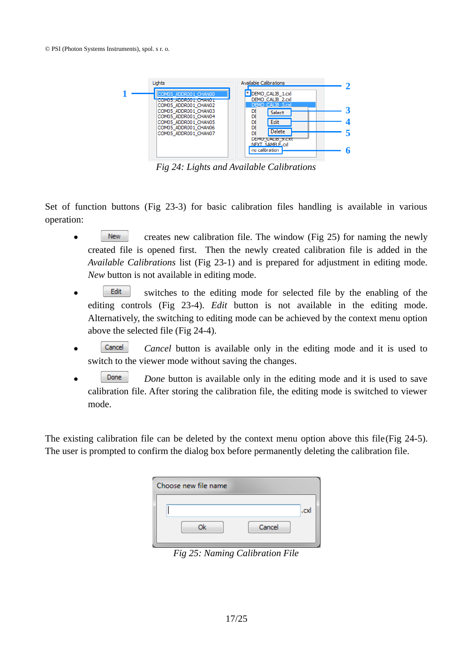

<span id="page-16-0"></span>*Fig 24: Lights and Available Calibrations*

Set of function buttons [\(Fig 23-](#page-15-2)3) for basic calibration files handling is available in various operation:

- $\blacksquare$  New  $\blacksquare$  creates new calibration file. The window [\(Fig 25\)](#page-16-1) for naming the newly created file is opened first. Then the newly created calibration file is added in the *Available Calibrations* list [\(Fig 23-](#page-15-2)1) and is prepared for adjustment in editing mode. *New* button is not available in editing mode.
- **s Edit** switches to the editing mode for selected file by the enabling of the editing controls [\(Fig 23-](#page-15-2)4). *Edit* button is not available in the editing mode. Alternatively, the switching to editing mode can be achieved by the context menu option above the selected file [\(Fig 24-](#page-16-0)4).
- **Cancel Cancel button** is available only in the editing mode and it is used to switch to the viewer mode without saving the changes.
- **Done** *Done* button is available only in the editing mode and it is used to save calibration file. After storing the calibration file, the editing mode is switched to viewer mode.

The existing calibration file can be deleted by the context menu option above this file[\(Fig 24-](#page-16-0)5). The user is prompted to confirm the dialog box before permanently deleting the calibration file.

| Choose new file name |  |  |  |
|----------------------|--|--|--|
| .cx                  |  |  |  |
| Cancel               |  |  |  |
|                      |  |  |  |

<span id="page-16-1"></span>*Fig 25: Naming Calibration File*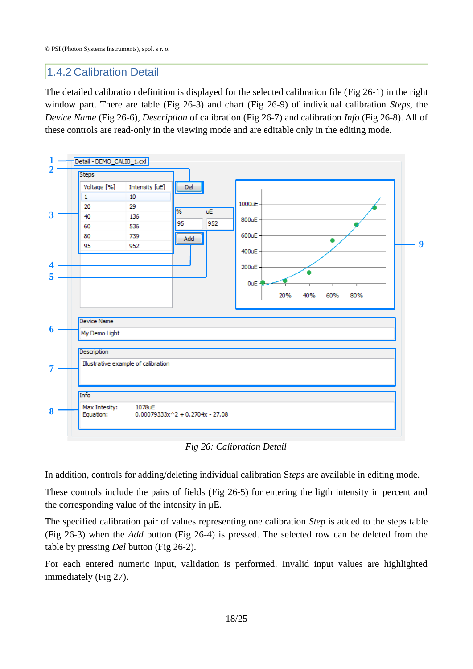## <span id="page-17-0"></span>1.4.2 Calibration Detail

The detailed calibration definition is displayed for the selected calibration file [\(Fig 26-](#page-17-1)1) in the right window part. There are table [\(Fig 26-](#page-17-1)3) and chart [\(Fig 26-](#page-17-1)9) of individual calibration *Steps*, the *Device Name* [\(Fig 26-](#page-17-1)6), *Description* of calibration [\(Fig 26-](#page-17-1)7) and calibration *Info* [\(Fig 26-](#page-17-1)8). All of these controls are read-only in the viewing mode and are editable only in the editing mode.



<span id="page-17-1"></span>*Fig 26: Calibration Detail*

In addition, controls for adding/deleting individual calibration S*teps* are available in editing mode.

These controls include the pairs of fields [\(Fig 26-](#page-17-1)5) for entering the ligth intensity in percent and the corresponding value of the intensity in μE.

The specified calibration pair of values representing one calibration *Step* is added to the steps table [\(Fig 26-](#page-17-1)3) when the *Add* button [\(Fig 26-](#page-17-1)4) is pressed. The selected row can be deleted from the table by pressing *Del* button [\(Fig 26-](#page-17-1)2).

For each entered numeric input, validation is performed. Invalid input values are highlighted immediately [\(Fig 27\)](#page-18-0).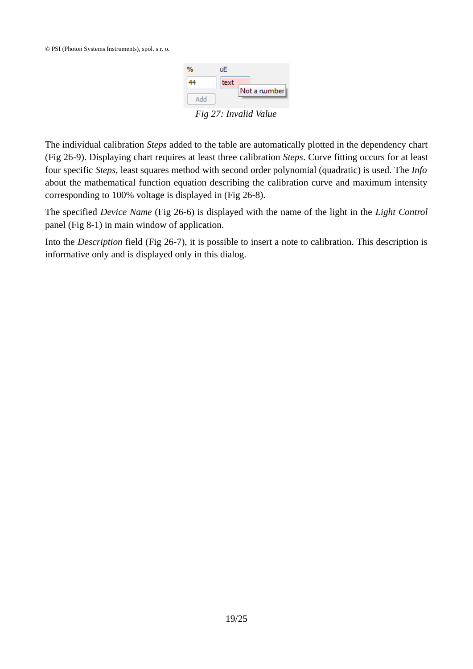<span id="page-18-0"></span>

The individual calibration *Steps* added to the table are automatically plotted in the dependency chart [\(Fig 26-](#page-17-1)9). Displaying chart requires at least three calibration *Steps*. Curve fitting occurs for at least four specific *Steps,* least squares method with second order polynomial (quadratic) is used. The *Info* about the mathematical function equation describing the calibration curve and maximum intensity corresponding to 100% voltage is displayed in [\(Fig 26-](#page-17-1)8).

The specified *Device Name* [\(Fig 26-](#page-17-1)6) is displayed with the name of the light in the *Light Control* panel [\(Fig 8-](#page-7-0)1) in main window of application.

Into the *Description* field [\(Fig 26-](#page-17-1)7), it is possible to insert a note to calibration. This description is informative only and is displayed only in this dialog.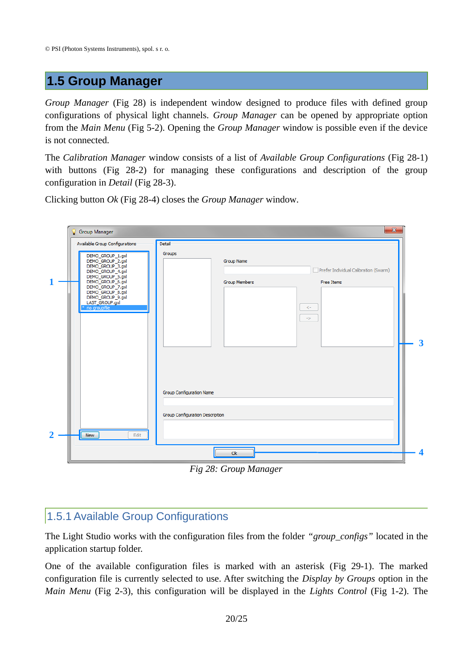## <span id="page-19-1"></span>**1.5 Group Manager**

*Group Manager* [\(Fig 28\)](#page-19-2) is independent window designed to produce files with defined group configurations of physical light channels. *Group Manager* can be opened by appropriate option from the *Main Menu* [\(Fig 5-](#page-6-3)2). Opening the *Group Manager* window is possible even if the device is not connected.

The *Calibration Manager* window consists of a list of *Available Group Configurations* [\(Fig 28-](#page-19-2)1) with buttons [\(Fig 28-](#page-19-2)2) for managing these configurations and description of the group configuration in *Detail* [\(Fig 28-](#page-19-2)3).

Clicking button *Ok* [\(Fig 28-](#page-19-2)4) closes the *Group Manager* window*.*



<span id="page-19-2"></span>*Fig 28: Group Manager*

## <span id="page-19-0"></span>1.5.1 Available Group Configurations

The Light Studio works with the configuration files from the folder *"group\_configs"* located in the application startup folder.

One of the available configuration files is marked with an asterisk [\(Fig 29-](#page-20-0)1). The marked configuration file is currently selected to use. After switching the *Display by Groups* option in the *Main Menu* [\(Fig 2-](#page-5-2)3), this configuration will be displayed in the *Lights Control* [\(Fig 1-](#page-4-3)2). The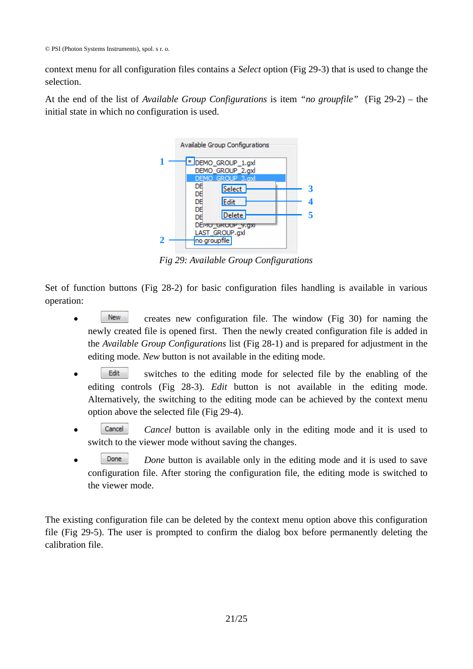context menu for all configuration files contains a *Select* option [\(Fig 29-](#page-20-0)3) that is used to change the selection.

At the end of the list of *Available Group Configurations* is item *"no groupfile"* [\(Fig 29-](#page-20-0)2) – the initial state in which no configuration is used.



<span id="page-20-0"></span>*Fig 29: Available Group Configurations*

Set of function buttons [\(Fig 28-](#page-19-2)2) for basic configuration files handling is available in various operation:

- New creates new configuration file. The window [\(Fig 30\)](#page-21-1) for naming the newly created file is opened first. Then the newly created configuration file is added in the *Available Group Configurations* list [\(Fig 28-](#page-19-2)1) and is prepared for adjustment in the editing mode. *New* button is not available in the editing mode.
- **Edit** switches to the editing mode for selected file by the enabling of the editing controls [\(Fig 28-](#page-19-2)3). *Edit* button is not available in the editing mode. Alternatively, the switching to the editing mode can be achieved by the context menu option above the selected file [\(Fig 29-](#page-20-0)4).
- **Cancel Cancel button** is available only in the editing mode and it is used to switch to the viewer mode without saving the changes.
- **Done Done button** is available only in the editing mode and it is used to save configuration file. After storing the configuration file, the editing mode is switched to the viewer mode.

The existing configuration file can be deleted by the context menu option above this configuration file [\(Fig 29-](#page-20-0)5). The user is prompted to confirm the dialog box before permanently deleting the calibration file.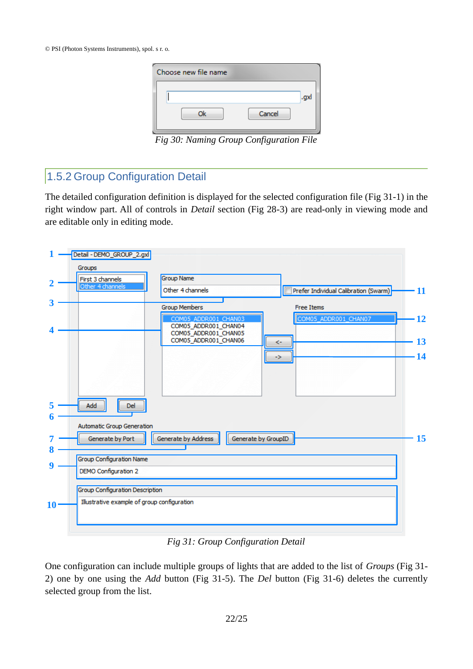| Choose new file name                                             |        |      |
|------------------------------------------------------------------|--------|------|
|                                                                  |        | .gxl |
| Ok                                                               | Cancel |      |
| $E_{\alpha}^{i}$ 20. Manina Crown Configuration $E_{\alpha}^{i}$ |        |      |

<span id="page-21-1"></span>*Fig 30: Naming Group Configuration File*

## <span id="page-21-0"></span>1.5.2 Group Configuration Detail

The detailed configuration definition is displayed for the selected configuration file [\(Fig 31-](#page-21-2)1) in the right window part. All of controls in *Detail* section [\(Fig 28-](#page-19-2)3) are read-only in viewing mode and are editable only in editing mode.

|    | Detail - DEMO_GROUP_2.gxl                                                     |    |
|----|-------------------------------------------------------------------------------|----|
|    | Groups                                                                        |    |
| 2  | <b>Group Name</b><br>First 3 channels                                         |    |
|    | Other 4 channels<br>Other 4 channels<br>Prefer Individual Calibration (Swarm) | 11 |
| З  |                                                                               |    |
|    | <b>Group Members</b><br><b>Free Items</b>                                     |    |
|    | COM05_ADDR001_CHAN07<br>COM05_ADDR001_CHAN03<br>COM05_ADDR001_CHAN04          | 12 |
|    | COM05_ADDR001_CHAN05                                                          |    |
|    | COM05_ADDR001_CHAN06<br><-                                                    | 13 |
|    |                                                                               | 14 |
|    | ->                                                                            |    |
|    |                                                                               |    |
|    |                                                                               |    |
|    |                                                                               |    |
| 5  | Add<br>Del                                                                    |    |
|    |                                                                               |    |
|    | Automatic Group Generation                                                    |    |
|    | Generate by Port<br>Generate by Address<br>Generate by GroupID                | 15 |
| 8  |                                                                               |    |
|    | <b>Group Configuration Name</b>                                               |    |
| 9  | <b>DEMO Configuration 2</b>                                                   |    |
|    |                                                                               |    |
|    | Group Configuration Description                                               |    |
| 10 | Illustrative example of group configuration                                   |    |
|    |                                                                               |    |
|    |                                                                               |    |
|    |                                                                               |    |

<span id="page-21-2"></span>*Fig 31: Group Configuration Detail*

One configuration can include multiple groups of lights that are added to the list of *Groups* [\(Fig 31-](#page-21-2) 2) one by one using the *Add* button [\(Fig 31-](#page-21-2)5). The *Del* button [\(Fig 31-](#page-21-2)6) deletes the currently selected group from the list.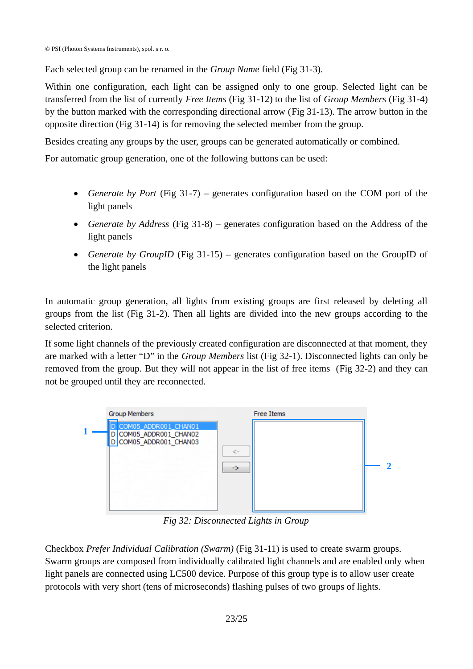Each selected group can be renamed in the *Group Name* field [\(Fig 31-](#page-21-2)3).

Within one configuration, each light can be assigned only to one group. Selected light can be transferred from the list of currently *Free Items* [\(Fig 31-](#page-21-2)12) to the list of *Group Members* [\(Fig 31-](#page-21-2)4) by the button marked with the corresponding directional arrow [\(Fig 31-](#page-21-2)13). The arrow button in the opposite direction [\(Fig 31-](#page-21-2)14) is for removing the selected member from the group.

Besides creating any groups by the user, groups can be generated automatically or combined.

For automatic group generation, one of the following buttons can be used:

- *Generate by Port* [\(Fig 31-](#page-21-2)7) generates configuration based on the COM port of the light panels
- *Generate by Address* [\(Fig 31-](#page-21-2)8) generates configuration based on the Address of the light panels
- *Generate by GroupID* [\(Fig 31-](#page-21-2)15) generates configuration based on the GroupID of the light panels

In automatic group generation, all lights from existing groups are first released by deleting all groups from the list [\(Fig 31-](#page-21-2)2). Then all lights are divided into the new groups according to the selected criterion.

If some light channels of the previously created configuration are disconnected at that moment, they are marked with a letter "D" in the *Group Members* list [\(Fig 32-](#page-22-0)1). Disconnected lights can only be removed from the group. But they will not appear in the list of free items ([Fig 32-](#page-22-0)2) and they can not be grouped until they are reconnected.



<span id="page-22-0"></span>*Fig 32: Disconnected Lights in Group*

Checkbox *Prefer Individual Calibration (Swarm)* [\(Fig 31-](#page-21-2)11) is used to create swarm groups. Swarm groups are composed from individually calibrated light channels and are enabled only when light panels are connected using LC500 device. Purpose of this group type is to allow user create protocols with very short (tens of microseconds) flashing pulses of two groups of lights.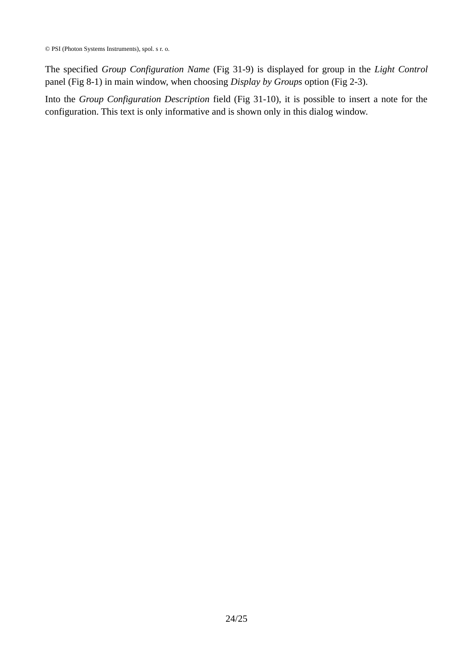© PSI (Photon Systems Instruments), spol. s r. o.

The specified *Group Configuration Name* [\(Fig 31-](#page-21-2)9) is displayed for group in the *Light Control* panel [\(Fig 8-](#page-7-0)1) in main window, when choosing *Display by Groups* option [\(Fig 2-](#page-5-2)3).

Into the *Group Configuration Description* field [\(Fig 31-](#page-21-2)10), it is possible to insert a note for the configuration. This text is only informative and is shown only in this dialog window.